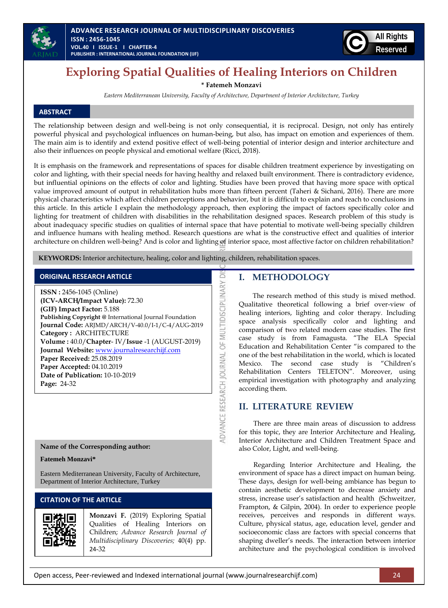



# **Exploring Spatial Qualities of Healing Interiors on Children**

**\* Fatemeh Monzavi**

*Eastern Mediterranean University, Faculty of Architecture, Department of Interior Architecture, Turkey*

# **ABSTRACT**

The relationship between design and well-being is not only consequential, it is reciprocal. Design, not only has entirely powerful physical and psychological influences on human-being, but also, has impact on emotion and experiences of them. The main aim is to identify and extend positive effect of well-being potential of interior design and interior architecture and also their influences on people physical and emotional welfare (Ricci, 2018).

It is emphasis on the framework and representations of spaces for disable children treatment experience by investigating on color and lighting, with their special needs for having healthy and relaxed built environment. There is contradictory evidence, but influential opinions on the effects of color and lighting. Studies have been proved that having more space with optical value improved amount of output in rehabilitation hubs more than fifteen percent (Taheri & Sichani, 2016). There are more physical characteristics which affect children perceptions and behavior, but it is difficult to explain and reach to conclusions in this article. In this article I explain the methodology approach, then exploring the impact of factors specifically color and lighting for treatment of children with disabilities in the rehabilitation designed spaces. Research problem of this study is about inadequacy specific studies on qualities of internal space that have potential to motivate well-being specially children and influence humans with healing method. Research questions are what is the constructive effect and qualities of interior architecture on children well-being? And is color and lighting of interior space, most affective factor on children rehabilitation?

ADVANCE RESEARCH JOURNAL OF MULTIDISCIPLINARY DI

**KEYWORDS:** Interior architecture, healing, color and lighting, children, rehabilitation spaces.

### **ORIGINAL RESEARCH ARTICLE**

**ISSN :** 2456-1045 (Online) **(ICV-ARCH/Impact Value):** 72.30 **(GIF) Impact Factor:** 5.188 **Publishing Copyright @** International Journal Foundation **Journal Code:** ARJMD/ARCH/V-40.0/I-1/C-4/AUG-2019 **Category :** ARCHITECTURE **Volume :** 40.0/**Chapter**- IV/**Issue** -1 (AUGUST-2019) **Journal Website:** [www.journalresearchijf.com](http://www.journalresearchijf.com/) **Paper Received:** 25.08.2019 **Paper Accepted:** 04.10.2019 **Date of Publication:** 10-10-2019 **Page:** 24-32

# **Name of the Corresponding author:**

#### **Fatemeh Monzavi\***

Eastern Mediterranean University, Faculty of Architecture, Department of Interior Architecture, Turkey

# **CITATION OF THE ARTICLE**

**Monzavi F.** (2019) Exploring Spatial Qualities of Healing Interiors on Children; *Advance Research Journal of Multidisciplinary Discoveries;* 40(4) pp. 24-32

# **I. METHODOLOGY**

The research method of this study is mixed method. Qualitative theoretical following a brief over-view of healing interiors, lighting and color therapy. Including space analysis specifically color and lighting and comparison of two related modern case studies. The first case study is from Famagusta. "The ELA Special Education and Rehabilitation Center "is compared to the one of the best rehabilitation in the world, which is located Mexico. The second case study is "Children's Rehabilitation Centers TELETON". Moreover, using empirical investigation with photography and analyzing according them.

### **II. LITERATURE REVIEW**

There are three main areas of discussion to address for this topic, they are Interior Architecture and Healing, Interior Architecture and Children Treatment Space and also Color, Light, and well-being.

Regarding Interior Architecture and Healing, the environment of space has a direct impact on human being. These days, design for well-being ambiance has begun to contain aesthetic development to decrease anxiety and stress, increase user's satisfaction and health (Schweitzer, Frampton, & Gilpin, 2004). In order to experience people receives, perceives and responds in different ways. Culture, physical status, age, education level, gender and socioeconomic class are factors with special concerns that shaping dweller's needs. The interaction between interior architecture and the psychological condition is involved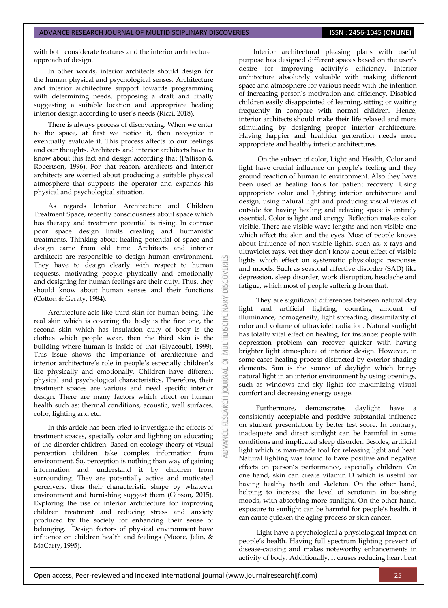with both considerate features and the interior architecture approach of design.

In other words, interior architects should design for the human physical and psychological senses. Architecture and interior architecture support towards programming with determining needs, proposing a draft and finally suggesting a suitable location and appropriate healing interior design according to user's needs (Ricci, 2018).

There is always process of discovering. When we enter to the space, at first we notice it, then recognize it eventually evaluate it. This process affects to our feelings and our thoughts. Architects and interior architects have to know about this fact and design according that (Pattison & Robertson, 1996). For that reason, architects and interior architects are worried about producing a suitable physical atmosphere that supports the operator and expands his physical and psychological situation.

As regards Interior Architecture and Children Treatment Space, recently consciousness about space which has therapy and treatment potential is rising. In contrast poor space design limits creating and humanistic treatments. Thinking about healing potential of space and design came from old time. Architects and interior architects are responsible to design human environment. They have to design clearly with respect to human requests. motivating people physically and emotionally and designing for human feelings are their duty. Thus, they should know about human senses and their functions (Cotton & Geraty, 1984).

**DISCOVERI** 

3

Architecture acts like third skin for human-being. The real skin which is covering the body is the first one, the second skin which has insulation duty of body is the clothes which people wear, then the third skin is the building where human is inside of that (Elyacoubi, 1999). This issue shows the importance of architecture and interior architecture's role in people's especially children's life physically and emotionally. Children have different physical and psychological characteristics. Therefore, their treatment spaces are various and need specific interior design. There are many factors which effect on human health such as: thermal conditions, acoustic, wall surfaces, color, lighting and etc.

In this article has been tried to investigate the effects of treatment spaces, specially color and lighting on educating of the disorder children. Based on ecology theory of visual perception children take complex information from environment. So, perception is nothing than way of gaining information and understand it by children from surrounding. They are potentially active and motivated perceivers. thus their characteristic shape by whatever environment and furnishing suggest them (Gibson, 2015). Exploring the use of interior architecture for improving children treatment and reducing stress and anxiety produced by the society for enhancing their sense of belonging. Design factors of physical environment have influence on children health and feelings (Moore, Jelin, & MaCarty, 1995).

Interior architectural pleasing plans with useful purpose has designed different spaces based on the user's desire for improving activity's efficiency. Interior architecture absolutely valuable with making different space and atmosphere for various needs with the intention of increasing person's motivation and efficiency. Disabled children easily disappointed of learning, sitting or waiting frequently in compare with normal children. Hence, interior architects should make their life relaxed and more stimulating by designing proper interior architecture. Having happier and healthier generation needs more appropriate and healthy interior architectures.

On the subject of color, Light and Health, Color and light have crucial influence on people's feeling and they ground reaction of human to environment. Also they have been used as healing tools for patient recovery. Using appropriate color and lighting interior architecture and design, using natural light and producing visual views of outside for having healing and relaxing space is entirely essential. Color is light and energy. Reflection makes color visible. There are visible wave lengths and non-visible one which affect the skin and the eyes. Most of people knows about influence of non-visible lights, such as, x-rays and ultraviolet rays, yet they don't know about effect of visible lights which effect on systematic physiologic responses and moods. Such as seasonal affective disorder (SAD) like depression, sleep disorder, work disruption, headache and fatigue, which most of people suffering from that.

They are significant differences between natural day light and artificial lighting, counting amount of illuminance, homogeneity, light spreading, dissimilarity of color and volume of ultraviolet radiation. Natural sunlight has totally vital effect on healing, for instance: people with depression problem can recover quicker with having brighter light atmosphere of interior design. However, in some cases healing process distracted by exterior shading elements. Sun is the source of daylight which brings natural light in an interior environment by using openings, such as windows and sky lights for maximizing visual comfort and decreasing energy usage.

Furthermore, demonstrates daylight have a consistently acceptable and positive substantial influence on student presentation by better test score. In contrary, inadequate and direct sunlight can be harmful in some conditions and implicated sleep disorder. Besides, artificial light which is man-made tool for releasing light and heat. Natural lighting was found to have positive and negative effects on person's performance, especially children. On one hand, skin can create vitamin D which is useful for having healthy teeth and skeleton. On the other hand, helping to increase the level of serotonin in boosting moods, with absorbing more sunlight. On the other hand, exposure to sunlight can be harmful for people's health, it can cause quicken the aging process or skin cancer.

Light have a psychological a physiological impact on people's health. Having full spectrum lighting prevent of disease-causing and makes noteworthy enhancements in activity of body. Additionally, it causes reducing heart beat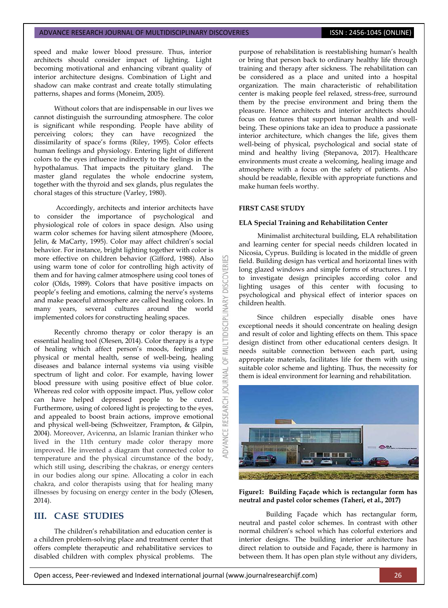speed and make lower blood pressure. Thus, interior architects should consider impact of lighting. Light becoming motivational and enhancing vibrant quality of interior architecture designs. Combination of Light and shadow can make contrast and create totally stimulating patterns, shapes and forms (Moneim, 2005).

Without colors that are indispensable in our lives we cannot distinguish the surrounding atmosphere. The color is significant while responding. People have ability of perceiving colors; they can have recognized the dissimilarity of space's forms (Riley, 1995). Color effects human feelings and physiology. Entering light of different colors to the eyes influence indirectly to the feelings in the hypothalamus. That impacts the pituitary gland. The master gland regulates the whole endocrine system, together with the thyroid and sex glands, plus regulates the choral stages of this structure (Varley, 1980).

Accordingly, architects and interior architects have to consider the importance of psychological and physiological role of colors in space design. Also using warm color schemes for having silent atmosphere (Moore, Jelin, & MaCarty, 1995). Color may affect children's social behavior. For instance, bright lighting together with color is more effective on children behavior (Gifford, 1988). Also using warm tone of color for controlling high activity of them and for having calmer atmosphere using cool tones of color (Olds, 1989). Colors that have positive impacts on people's feeling and emotions, calming the nerve's systems and make peaceful atmosphere are called healing colors. In many years, several cultures around the world implemented colors for constructing healing spaces.

Recently chromo therapy or color therapy is an essential healing tool (Olesen, 2014). Color therapy is a type of healing which affect person's moods, feelings and physical or mental health, sense of well-being, healing diseases and balance internal systems via using visible spectrum of light and color. For example, having lower blood pressure with using positive effect of blue color. Whereas red color with opposite impact. Plus, yellow color can have helped depressed people to be cured. Furthermore, using of colored light is projecting to the eyes, and appealed to boost brain actions, improve emotional and physical well-being (Schweitzer, Frampton, & Gilpin, 2004). Moreover, Avicenna, an Islamic Iranian thinker who lived in the 11th century made color therapy more improved. He invented a diagram that connected color to temperature and the physical circumstance of the body, which still using, describing the chakras, or energy centers in our bodies along our spine. Allocating a color in each chakra, and color therapists using that for healing many illnesses by focusing on energy center in the body (Olesen, 2014).

# **III. CASE STUDIES**

The children's rehabilitation and education center is a children problem-solving place and treatment center that offers complete therapeutic and rehabilitative services to disabled children with complex physical problems. The purpose of rehabilitation is reestablishing human's health or bring that person back to ordinary healthy life through training and therapy after sickness. The rehabilitation can be considered as a place and united into a hospital organization. The main characteristic of rehabilitation center is making people feel relaxed, stress-free, surround them by the precise environment and bring them the pleasure. Hence architects and interior architects should focus on features that support human health and wellbeing. These opinions take an idea to produce a passionate interior architecture, which changes the life, gives them well-being of physical, psychological and social state of mind and healthy living (Stepanova, 2017). Healthcare environments must create a welcoming, healing image and atmosphere with a focus on the safety of patients. Also should be readable, flexible with appropriate functions and make human feels worthy.

#### **FIRST CASE STUDY**

**JSC** 

5

**JOURNAL** 

**RESEARCH** 

**DVANCE** 

#### **ELA Special Training and Rehabilitation Center**

Minimalist architectural building, ELA rehabilitation and learning center for special needs children located in Nicosia, Cyprus. Building is located in the middle of green field. Building design has vertical and horizontal lines with long glazed windows and simple forms of structures. I try to investigate design principles according color and lighting usages of this center with focusing to psychological and physical effect of interior spaces on children health.

Since children especially disable ones have exceptional needs it should concentrate on healing design and result of color and lighting effects on them. This space design distinct from other educational centers design. It needs suitable connection between each part, using appropriate materials, facilitates life for them with using suitable color scheme and lighting. Thus, the necessity for them is ideal environment for learning and rehabilitation.



#### **Figure1: Building Façade which is rectangular form has neutral and pastel color schemes (Taheri, et al., 2017)**

Building Façade which has rectangular form, neutral and pastel color schemes. In contrast with other normal children's school which has colorful exteriors and interior designs. The building interior architecture has direct relation to outside and Façade, there is harmony in between them. It has open plan style without any dividers,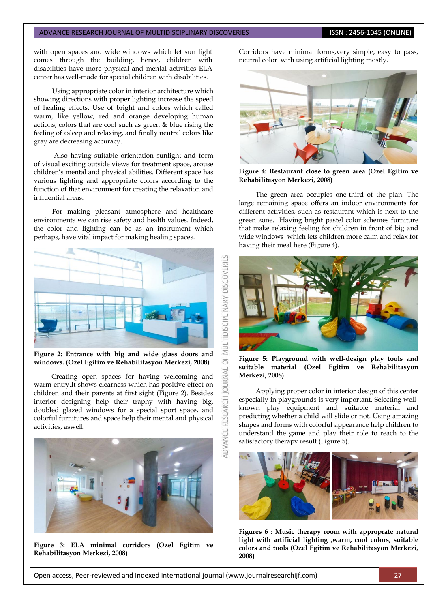with open spaces and wide windows which let sun light comes through the building, hence, children with disabilities have more physical and mental activities ELA center has well-made for special children with disabilities.

Using appropriate color in interior architecture which showing directions with proper lighting increase the speed of healing effects. Use of bright and colors which called warm, like yellow, red and orange developing human actions, colors that are cool such as green & blue rising the feeling of asleep and relaxing, and finally neutral colors like gray are decreasing accuracy.

Also having suitable orientation sunlight and form of visual exciting outside views for treatment space, arouse children's mental and physical abilities. Different space has various lighting and appropriate colors according to the function of that environment for creating the relaxation and influential areas.

For making pleasant atmosphere and healthcare environments we can rise safety and health values. Indeed, the color and lighting can be as an instrument which perhaps, have vital impact for making healing spaces.



**Figure 2: Entrance with big and wide glass doors and windows. (Ozel Egitim ve Rehabilitasyon Merkezi, 2008)**

Creating open spaces for having welcoming and warm entry.It shows clearness which has positive effect on children and their parents at first sight (Figure 2). Besides interior designing help their traphy with having big, doubled glazed windows for a special sport space, and colorful furnitures and space help their mental and physical activities, aswell.



**Figure 3: ELA minimal corridors (Ozel Egitim ve Rehabilitasyon Merkezi, 2008)**

Corridors have minimal forms,very simple, easy to pass, neutral color with using artificial lighting mostly.



**Figure 4: Restaurant close to green area (Ozel Egitim ve Rehabilitasyon Merkezi, 2008)**

The green area occupies one-third of the plan. The large remaining space offers an indoor environments for different activities, such as restaurant which is next to the green zone. Having bright pastel color schemes furniture that make relaxing feeling for children in front of big and wide windows which lets children more calm and relax for having their meal here (Figure 4).



**Figure 5: Playground with well-design play tools and suitable material (Ozel Egitim ve Rehabilitasyon Merkezi, 2008)**

Applying proper color in interior design of this center especially in playgrounds is very important. Selecting wellknown play equipment and suitable material and predicting whether a child will slide or not. Using amazing shapes and forms with colorful appearance help children to understand the game and play their role to reach to the satisfactory therapy result (Figure 5).



**Figures 6 : Music therapy room with approprate natural light with artificial lighting ,warm, cool colors, suitable colors and tools (Ozel Egitim ve Rehabilitasyon Merkezi, 2008)**

 $\overline{6}$ 

**JOURNAL**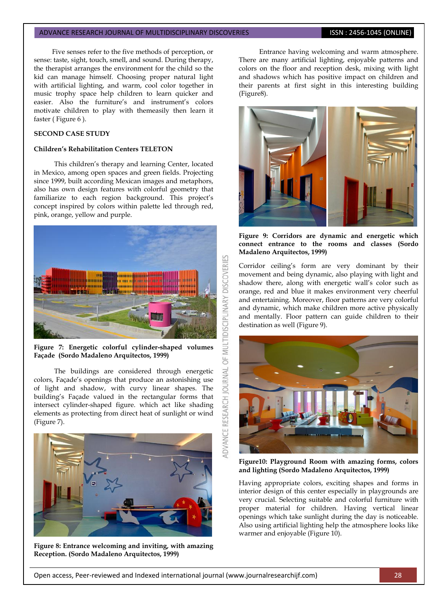Five senses refer to the five methods of perception, or sense: taste, sight, touch, smell, and sound. During therapy, the therapist arranges the environment for the child so the kid can manage himself. Choosing proper natural light with artificial lighting, and warm, cool color together in music trophy space help children to learn quicker and easier. Also the furniture's and instrument's colors motivate children to play with themeasily then learn it faster ( Figure 6 ).

#### **SECOND CASE STUDY**

#### **Children's Rehabilitation Centers TELETON**

This children's therapy and learning Center, located in Mexico, among open spaces and green fields. Projecting since 1999, built according Mexican images and metaphors, also has own design features with colorful geometry that familiarize to each region background. This project's concept inspired by colors within palette led through red, pink, orange, yellow and purple.



**Figure 7: Energetic colorful cylinder-shaped volumes Façade (Sordo Madaleno Arquitectos, 1999)**

The buildings are considered through energetic colors, Façade's openings that produce an astonishing use of light and shadow, with curvy linear shapes. The building's Façade valued in the rectangular forms that intersect cylinder-shaped figure. which act like shading elements as protecting from direct heat of sunlight or wind (Figure 7).



**Figure 8: Entrance welcoming and inviting, with amazing Reception. (Sordo Madaleno Arquitectos, 1999)**

Entrance having welcoming and warm atmosphere. There are many artificial lighting, enjoyable patterns and colors on the floor and reception desk, mixing with light and shadows which has positive impact on children and their parents at first sight in this interesting building (Figure8).



**Figure 9: Corridors are dynamic and energetic which connect entrance to the rooms and classes (Sordo Madaleno Arquitectos, 1999)**

Corridor ceiling's form are very dominant by their movement and being dynamic, also playing with light and shadow there, along with energetic wall's color such as orange, red and blue it makes environment very cheerful and entertaining. Moreover, floor patterns are very colorful and dynamic, which make children more active physically and mentally. Floor pattern can guide children to their destination as well (Figure 9).



**Figure10: Playground Room with amazing forms, colors and lighting (Sordo Madaleno Arquitectos, 1999)**

Having appropriate colors, exciting shapes and forms in interior design of this center especially in playgrounds are very crucial. Selecting suitable and colorful furniture with proper material for children. Having vertical linear openings which take sunlight during the day is noticeable. Also using artificial lighting help the atmosphere looks like warmer and enjoyable (Figure 10).

5F

**JOURNAL** 

**IDVANCE RESEARCH**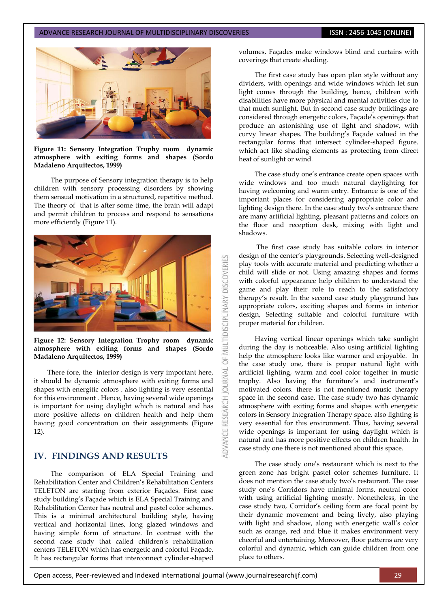

#### **Figure 11: Sensory Integration Trophy room dynamic atmosphere with exiting forms and shapes (Sordo Madaleno Arquitectos, 1999)**

The purpose of Sensory integration therapy is to help children with sensory processing disorders by showing them sensual motivation in a structured, repetitive method. The theory of that is after some time, the brain will adapt and permit children to process and respond to sensations more efficiently (Figure 11).



**Figure 12: Sensory Integration Trophy room dynamic atmosphere with exiting forms and shapes (Sordo Madaleno Arquitectos, 1999)**

There fore, the interior design is very important here, it should be dynamic atmosphere with exiting forms and shapes with energitic colors . also lighting is very essential for this environment . Hence, having several wide openings is important for using daylight which is natural and has more positive affects on children health and help them having good concentration on their assignments (Figure 12).

# **IV. FINDINGS AND RESULTS**

 The comparison of ELA Special Training and Rehabilitation Center and Children's Rehabilitation Centers TELETON are starting from exterior Façades. First case study building's Façade which is ELA Special Training and Rehabilitation Center has neutral and pastel color schemes. This is a minimal architectural building style, having vertical and horizontal lines, long glazed windows and having simple form of structure. In contrast with the second case study that called children's rehabilitation centers TELETON which has energetic and colorful Façade. It has rectangular forms that interconnect cylinder-shaped volumes, Façades make windows blind and curtains with coverings that create shading.

The first case study has open plan style without any dividers, with openings and wide windows which let sun light comes through the building, hence, children with disabilities have more physical and mental activities due to that much sunlight. But in second case study buildings are considered through energetic colors, Façade's openings that produce an astonishing use of light and shadow, with curvy linear shapes. The building's Façade valued in the rectangular forms that intersect cylinder-shaped figure. which act like shading elements as protecting from direct heat of sunlight or wind.

The case study one's entrance create open spaces with wide windows and too much natural daylighting for having welcoming and warm entry. Entrance is one of the important places for considering appropriate color and lighting design there. In the case study two's entrance there are many artificial lighting, pleasant patterns and colors on the floor and reception desk, mixing with light and shadows.

The first case study has suitable colors in interior design of the center's playgrounds. Selecting well-designed play tools with accurate material and predicting whether a child will slide or not. Using amazing shapes and forms with colorful appearance help children to understand the game and play their role to reach to the satisfactory therapy's result. In the second case study playground has appropriate colors, exciting shapes and forms in interior design, Selecting suitable and colorful furniture with proper material for children.

Having vertical linear openings which take sunlight during the day is noticeable. Also using artificial lighting help the atmosphere looks like warmer and enjoyable. In the case study one, there is proper natural light with artificial lighting, warm and cool color together in music trophy. Also having the furniture's and instrument's motivated colors. there is not mentioned music therapy space in the second case. The case study two has dynamic atmosphere with exiting forms and shapes with energetic colors in Sensory Integration Therapy space. also lighting is very essential for this environment. Thus, having several wide openings is important for using daylight which is natural and has more positive effects on children health. In case study one there is not mentioned about this space.

The case study one's restaurant which is next to the green zone has bright pastel color schemes furniture. It does not mention the case study two's restaurant. The case study one's Corridors have minimal forms, neutral color with using artificial lighting mostly. Nonetheless, in the case study two, Corridor's ceiling form are focal point by their dynamic movement and being lively, also playing with light and shadow, along with energetic wall's color such as orange, red and blue it makes environment very cheerful and entertaining. Moreover, floor patterns are very colorful and dynamic, which can guide children from one place to others.

**MULTIDISCIPLINARY DISCOVERIES** 

5

**JRNAL**  $\overline{c}$ 

RESEARCH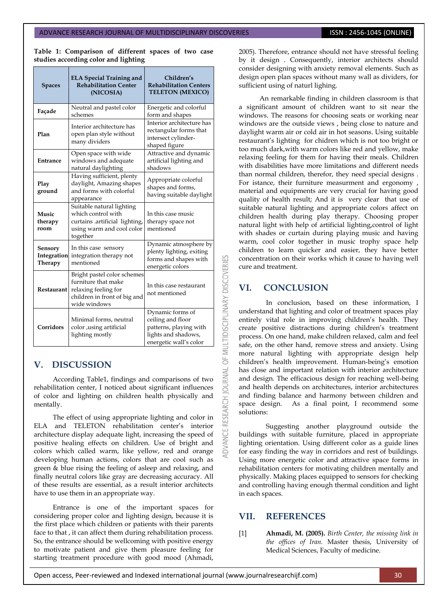**Table 1: Comparison of different spaces of two case studies according color and lighting**

| <b>Spaces</b>                     | <b>ELA Special Training and</b><br><b>Rehabilitation Center</b><br>(NICOSIA)                                               | Children's<br><b>Rehabilitation Centers</b><br><b>TELETON (MEXICO)</b>                                           |
|-----------------------------------|----------------------------------------------------------------------------------------------------------------------------|------------------------------------------------------------------------------------------------------------------|
| Façade                            | Neutral and pastel color<br>schemes                                                                                        | Energetic and colorful<br>form and shapes                                                                        |
| Plan                              | Interior architecture has<br>open plan style without<br>many dividers                                                      | Interior architecture has<br>rectangular forms that<br>intersect cylinder-<br>shaped figure                      |
| Entrance                          | Open space with wide<br>windows and adequate<br>natural daylighting                                                        | Attractive and dynamic<br>artificial lighting and<br>shadows                                                     |
| Play<br>ground                    | Having sufficient, plenty<br>daylight, Amazing shapes<br>and forms with colorful<br>appearance                             | Appropriate colorful<br>shapes and forms,<br>having suitable daylight                                            |
| Music<br>therapy<br>room          | Suitable natural lighting<br>which control with<br>curtains artificial lighting,<br>using warm and cool color<br>together  | In this case music<br>therapy space not<br>mentioned                                                             |
| Sensory<br>Integration<br>Therapy | In this case sensory<br>integration therapy not<br>mentioned                                                               | Dynamic atmosphere by<br>plenty lighting, exiting<br>forms and shapes with<br>energetic colors                   |
| Restaurant                        | Bright pastel color schemes<br>furniture that make<br>relaxing feeling for<br>children in front of big and<br>wide windows | In this case restaurant<br>not mentioned                                                                         |
| Corridors                         | Minimal forms, neutral<br>color , using artificial<br>lighting mostly                                                      | Dynamic forms of<br>ceiling and floor<br>patterns, playing with<br>lights and shadows,<br>energetic wall's color |

# **V. DISCUSSION**

According Table1, findings and comparisons of two rehabilitation center, I noticed about significant influences of color and lighting on children health physically and mentally.

The effect of using appropriate lighting and color in ELA and TELETON rehabilitation center's interior architecture display adequate light, increasing the speed of positive healing effects on children. Use of bright and colors which called warm, like yellow, red and orange developing human actions, colors that are cool such as green & blue rising the feeling of asleep and relaxing, and finally neutral colors like gray are decreasing accuracy. All of these results are essential, as a result interior architects have to use them in an appropriate way.

Entrance is one of the important spaces for considering proper color and lighting design, because it is the first place which children or patients with their parents face to that , it can affect them during rehabilitation process. So, the entrance should be wellcoming with positive energy to motivate patient and give them pleasure feeling for starting treatment procedure with good mood (Ahmadi, 2005). Therefore, entrance should not have stressful feeling by it design . Consequently, interior architects should consider designing with anxiety removal elements. Such as design open plan spaces without many wall as dividers, for sufficient using of naturl lighing.

An remarkable finding in children classroom is that a significant amount of children want to sit near the windows. The reasons for choosing seats or working near windows are the outside views , being close to nature and daylight warm air or cold air in hot seasons. Using suitable restaurant's lighting for chidren which is not too bright or too much dark,with warm colors like red and yellow, make relaxing feeling for them for having their meals. Children with disabilities have more limitations and different needs than normal children, therefor, they need special designs . For istance, their furniture measurment and ergonomy , material and equipments are very crucial for having good quality of health result; And it is very clear that use of suitable natural lighting and appropriate colors affect on children health during play therapy. Choosing proper natural light with help of artificial lighting,control of light with shades or curtain during playing music and having warm, cool color together in music trophy space help children to learn quicker and easier, they have better concentration on their works which it cause to having well cure and treatment.

# **VI. CONCLUSION**

OF MULTIDISCIPLINARY DISCOVERI

**JOURNAL** 

3

In conclusion, based on these information, I understand that lighting and color of treatment spaces play entirely vital role in improving children's health. They create positive distractions during children's treatment process. On one hand, make children relaxed, calm and feel safe, on the other hand, remove stress and anxiety. Using more natural lighting with appropriate design help children's health improvement. Human-being's emotion has close and important relation with interior architecture and design. The efficacious design for reaching well-being and health depends on architectures, interior architectures and finding balance and harmony between children and space design. As a final point, I recommend some solutions:

Suggesting another playground outside the buildings with suitable furniture, placed in appropriate lighting orientation. Using different color as a guide lines for easy finding the way in corridors and rest of buildings. Using more energetic color and attractive space forms in rehabilitation centers for motivating children mentally and physically. Making places equipped to sensors for checking and controlling having enough thermal condition and light in each spaces.

# **VII. REFERENCES**

[1] **Ahmadi, M. (2005).** *Birth Center, the missing link in the offices of Iran.* Master thesis, University of Medical Sciences, Faculty of medicine.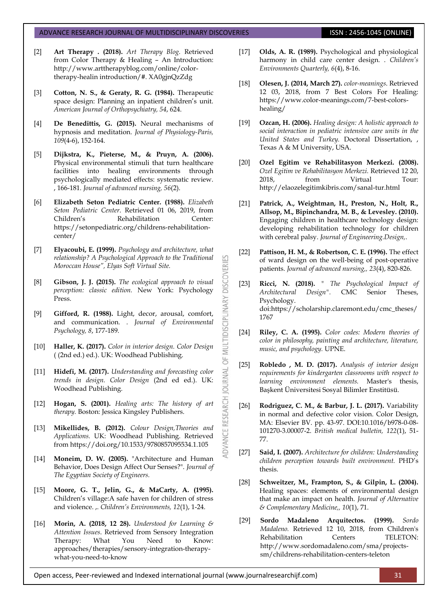- [2] **Art Therapy . (2018).** *Art Therapy Blog.* Retrieved from Color Therapy & Healing – An Introduction: http://www.arttherapyblog.com/online/colortherapy-healin introduction/#. XA0gjnQzZdg
- [3] **Cotton, N. S., & Geraty, R. G. (1984).** Therapeutic space design: Planning an inpatient children's unit. *American Journal of Orthopsychiatry, 54*, 624.
- [4] **De Benedittis, G. (2015).** Neural mechanisms of hypnosis and meditation. *Journal of Physiology-Paris, 109*(4-6), 152-164.
- [5] **Dijkstra, K., Pieterse, M., & Pruyn, A. (2006).** Physical environmental stimuli that turn healthcare facilities into healing environments through psychologically mediated effects: systematic review. , 166-181. *Journal of advanced nursing, 56*(2).
- [6] **Elizabeth Seton Pediatric Center. (1988).** *Elizabeth Seton Pediatric Center*. Retrieved 01 06, 2019, from Children's Rehabilitation Center: https://setonpediatric.org/childrens-rehabilitationcenter/
- [7] **Elyacoubi, E. (1999).** *Psychology and architecture, what relationship? A Psychological Approach to the Traditional Moroccan House", Elyas Soft Virtual Site.*

53

**DISCOVERI** 

**MULTIDISCIPLINARY** 

5

JOURNAL

ADVANCE RESEARCH

- [8] **Gibson, J. J. (2015).** *The ecological approach to visual perception: classic edition.* New York: Psychology Press.
- [9] **Gifford, R. (1988).** Light, decor, arousal, comfort, and communication. . *Journal of Environmental Psychology, 8*, 177-189.
- [10] **Haller, K. (2017).** *Color in interior design. Color Design* ( (2nd ed.) ed.). UK: Woodhead Publishing.
- [11] **Hidefi, M. (2017).** *Understanding and forecasting color trends in design. Color Design* (2nd ed ed.). UK: Woodhead Publishing.
- [12] **Hogan, S. (2001).** *Healing arts: The history of art therapy.* Boston: Jessica Kingsley Publishers.
- [13] **Mikellides, B. (2012).** *Colour Design,Theories and Applications.* UK: Woodhead Publishing. Retrieved from https://doi.org/10.1533/9780857095534.1.105
- [14] **Moneim, D. W. (2005).** "Architecture and Human Behavior, Does Design Affect Our Senses?". *Journal of The Egyptian Society of Engineers.*
- [15] **Moore, G. T., Jelin, G., & MaCarty, A. (1995).**  Children's village:A safe haven for children of stress and violence. ,. *Children's Environments, 12*(1), 1-24.
- [16] **Morin, A. (2018, 12 28).** *Understood for Learning & Attention Issues*. Retrieved from Sensory Integration Therapy: What You Need to Know: approaches/therapies/sensory-integration-therapywhat-you-need-to-know
- [17] **Olds, A. R. (1989).** Psychological and physiological harmony in child care center design. . *Children's Environments Quarterly, 6*(4), 8-16.
- [18] **Olesen, J. (2014, March 27).** *color-meanings*. Retrieved 12 03, 2018, from 7 Best Colors For Healing: https://www.color-meanings.com/7-best-colorshealing/
- [19] **Ozcan, H. (2006).** *Healing design: A holistic approach to social interaction in pediatric intensive care units in the United States and Turkey.* Doctoral Dissertation, , Texas A & M University, USA.
- [20] **Ozel Egitim ve Rehabilitasyon Merkezi. (2008).** *Ozel Egitim ve Rehabilitasyon Merkezi.* Retrieved 12 20, 2018, from Virtual Tour: http://elaozelegitimkibris.com/sanal-tur.html
- [21] **Patrick, A., Weightman, H., Preston, N., Holt, R., Allsop, M., Bipinchandra, M. B., & Levesley. (2010).**  Engaging children in healthcare technology design: developing rehabilitation technology for children with cerebral palsy. *Journal of Engineering.Design,*.
- [22] **Pattison, H. M., & Robertson, C. E. (1996).** The effect of ward design on the well‐being of post‐operative patients. *Journal of advanced nursing,, 23*(4), 820-826.
- [23] **Ricci, N. (2018).** *" The Psychological Impact of Architectural Design".* CMC Senior Theses, Psychology. doi:https://scholarship.claremont.edu/cmc\_theses/ 1767
- [24] **Riley, C. A. (1995).** *Color codes: Modern theories of color in philosophy, painting and architecture, literature, music, and psychology.* UPNE.
- [25] **Robledo , M. D. (2017).** *Analysis of interior design requirements for kindergarten classrooms with respect to learning environment elements.* Master's thesis, Başkent Üniversitesi Sosyal Bilimler Enstitüsü.
- [26] **Rodriguez, C. M., & Barbur, J. L. (2017).** Variability in normal and defective color vision. Color Design, MA: Elsevier BV. pp. 43-97. DOI:10.1016/b978-0-08- 101270-3.00007-2. *British medical bulletin, 122*(1), 51- 77.
- [27] **Said, I. (2007).** *Architecture for children: Understanding children perception towards built environment.* PHD's thesis.
- [28] **Schweitzer, M., Frampton, S., & Gilpin, L. (2004).**  Healing spaces: elements of environmental design that make an impact on health. *Journal of Alternative & Complementary Medicine,, 10*(1), 71.
- [29] **Sordo Madaleno Arquitectos. (1999).** *Sordo Madaleno.* Retrieved 12 10, 2018, from Children's Rehabilitation Centers TELETON: http://www.sordomadaleno.com/sma/projectssm/childrens-rehabilitation-centers-teleton

Open access, Peer-reviewed and Indexed international journal (www.journalresearchijf.com) 31